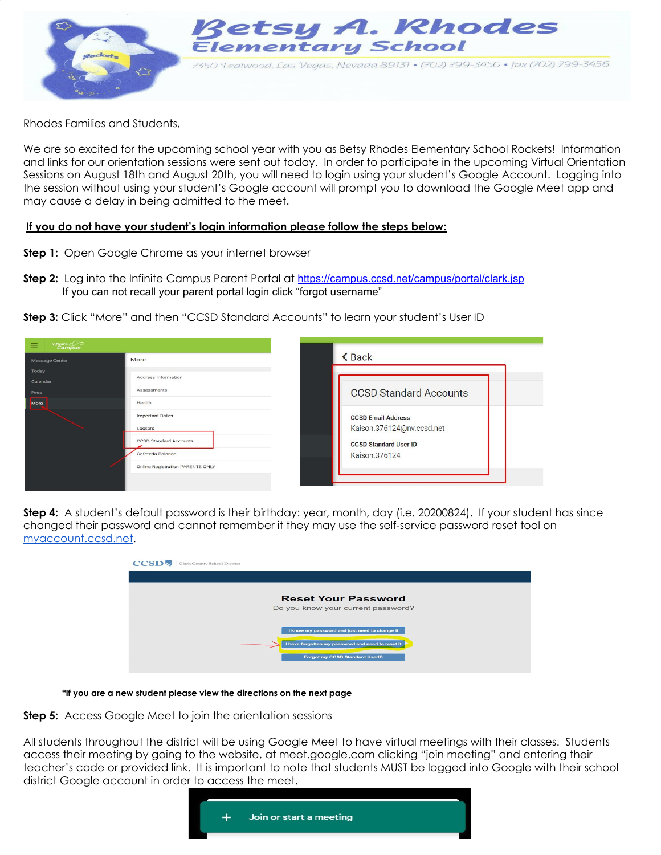

Rhodes Families and Students,

We are so excited for the upcoming school year with you as Betsy Rhodes Elementary School Rockets! Information and links for our orientation sessions were sent out today. In order to participate in the upcoming Virtual Orientation Sessions on August 18th and August 20th, you will need to login using your student's Google Account. Logging into the session without using your student's Google account will prompt you to download the Google Meet app and may cause a delay in being admitted to the meet.

## **If you do not have your student's login information please follow the steps below:**

- **Step 1:** Open Google Chrome as your internet browser
- **Step 2:** Log into the Infinite Campus Parent Portal at <https://campus.ccsd.net/campus/portal/clark.jsp> If you can not recall your parent portal login click "forgot username"

**Step 3:** Click "More" and then "CCSD Standard Accounts" to learn your student's User ID

| $Infinite \, \bigcirc$<br>$\equiv$ |                                  | <b><back< b=""></back<></b>   |
|------------------------------------|----------------------------------|-------------------------------|
| Message Center                     | More                             |                               |
| Today<br>Calendar                  | Address Information              |                               |
| Fees                               | Assessments                      | <b>CCSD Standard Accounts</b> |
| More                               | Health                           |                               |
|                                    | <b>Important Dates</b>           | <b>CCSD Email Address</b>     |
|                                    | Lockers                          | Kaison.376124@nv.ccsd.net     |
|                                    | <b>CCSD Standard Accounts</b>    | <b>CCSD Standard User ID</b>  |
|                                    | Cafeteria Balance                | Kaison.376124                 |
|                                    | Online Registration PARENTS ONLY |                               |
|                                    |                                  |                               |

**Step 4:** A student's default password is their birthday: year, month, day (i.e. 20200824). If your student has since changed their password and cannot remember it they may use the self-service password reset tool on [myaccount.ccsd.net.](http://myaccount.ccsd.net/)

| <b>CCSI</b> | Clark County School District                                                                       |  |
|-------------|----------------------------------------------------------------------------------------------------|--|
|             |                                                                                                    |  |
|             | <b>Reset Your Password</b>                                                                         |  |
|             | Do you know your current password?                                                                 |  |
|             | I know my password and just need to change it<br>I have forgotten my password and need to reset it |  |
|             | <b>Forgot my CCSD Standard UserID</b>                                                              |  |

**\*If you are a new student please view the directions on the next page**

**Step 5:** Access Google Meet to join the orientation sessions

All students throughout the district will be using Google Meet to have virtual meetings with their classes. Students access their meeting by going to the website, at meet.google.com clicking "join meeting" and entering their teacher's code or provided link. It is important to note that students MUST be logged into Google with their school district Google account in order to access the meet.